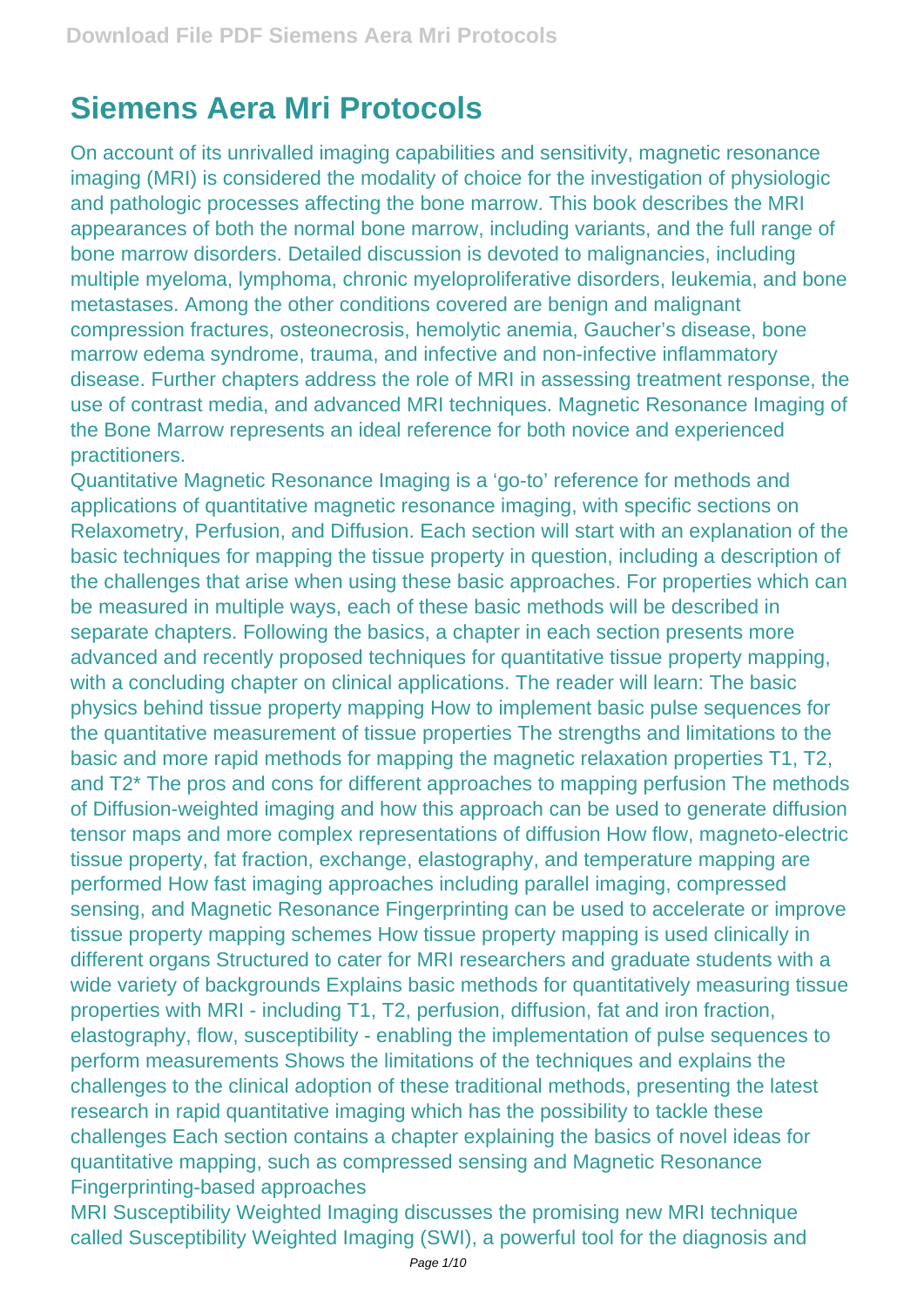## **Siemens Aera Mri Protocols**

On account of its unrivalled imaging capabilities and sensitivity, magnetic resonance imaging (MRI) is considered the modality of choice for the investigation of physiologic and pathologic processes affecting the bone marrow. This book describes the MRI appearances of both the normal bone marrow, including variants, and the full range of bone marrow disorders. Detailed discussion is devoted to malignancies, including multiple myeloma, lymphoma, chronic myeloproliferative disorders, leukemia, and bone metastases. Among the other conditions covered are benign and malignant compression fractures, osteonecrosis, hemolytic anemia, Gaucher's disease, bone marrow edema syndrome, trauma, and infective and non-infective inflammatory disease. Further chapters address the role of MRI in assessing treatment response, the use of contrast media, and advanced MRI techniques. Magnetic Resonance Imaging of the Bone Marrow represents an ideal reference for both novice and experienced practitioners.

Quantitative Magnetic Resonance Imaging is a 'go-to' reference for methods and applications of quantitative magnetic resonance imaging, with specific sections on Relaxometry, Perfusion, and Diffusion. Each section will start with an explanation of the basic techniques for mapping the tissue property in question, including a description of the challenges that arise when using these basic approaches. For properties which can be measured in multiple ways, each of these basic methods will be described in separate chapters. Following the basics, a chapter in each section presents more advanced and recently proposed techniques for quantitative tissue property mapping, with a concluding chapter on clinical applications. The reader will learn: The basic physics behind tissue property mapping How to implement basic pulse sequences for the quantitative measurement of tissue properties The strengths and limitations to the basic and more rapid methods for mapping the magnetic relaxation properties T1, T2, and T2\* The pros and cons for different approaches to mapping perfusion The methods of Diffusion-weighted imaging and how this approach can be used to generate diffusion tensor maps and more complex representations of diffusion How flow, magneto-electric tissue property, fat fraction, exchange, elastography, and temperature mapping are performed How fast imaging approaches including parallel imaging, compressed sensing, and Magnetic Resonance Fingerprinting can be used to accelerate or improve tissue property mapping schemes How tissue property mapping is used clinically in different organs Structured to cater for MRI researchers and graduate students with a wide variety of backgrounds Explains basic methods for quantitatively measuring tissue properties with MRI - including T1, T2, perfusion, diffusion, fat and iron fraction, elastography, flow, susceptibility - enabling the implementation of pulse sequences to perform measurements Shows the limitations of the techniques and explains the challenges to the clinical adoption of these traditional methods, presenting the latest research in rapid quantitative imaging which has the possibility to tackle these challenges Each section contains a chapter explaining the basics of novel ideas for quantitative mapping, such as compressed sensing and Magnetic Resonance Fingerprinting-based approaches

MRI Susceptibility Weighted Imaging discusses the promising new MRI technique called Susceptibility Weighted Imaging (SWI), a powerful tool for the diagnosis and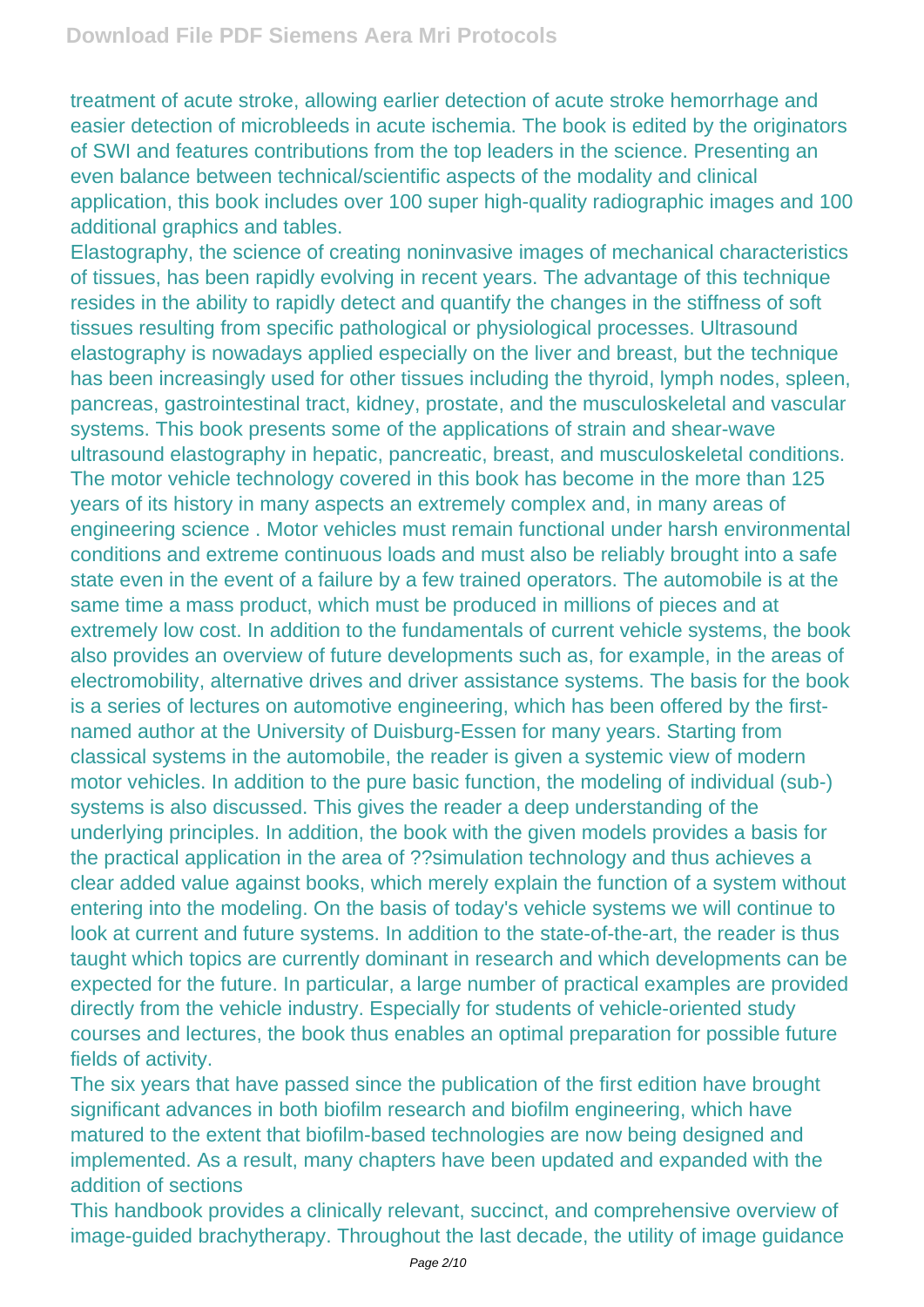treatment of acute stroke, allowing earlier detection of acute stroke hemorrhage and easier detection of microbleeds in acute ischemia. The book is edited by the originators of SWI and features contributions from the top leaders in the science. Presenting an even balance between technical/scientific aspects of the modality and clinical application, this book includes over 100 super high-quality radiographic images and 100 additional graphics and tables.

Elastography, the science of creating noninvasive images of mechanical characteristics of tissues, has been rapidly evolving in recent years. The advantage of this technique resides in the ability to rapidly detect and quantify the changes in the stiffness of soft tissues resulting from specific pathological or physiological processes. Ultrasound elastography is nowadays applied especially on the liver and breast, but the technique has been increasingly used for other tissues including the thyroid, lymph nodes, spleen, pancreas, gastrointestinal tract, kidney, prostate, and the musculoskeletal and vascular systems. This book presents some of the applications of strain and shear-wave ultrasound elastography in hepatic, pancreatic, breast, and musculoskeletal conditions. The motor vehicle technology covered in this book has become in the more than 125 years of its history in many aspects an extremely complex and, in many areas of engineering science . Motor vehicles must remain functional under harsh environmental conditions and extreme continuous loads and must also be reliably brought into a safe state even in the event of a failure by a few trained operators. The automobile is at the same time a mass product, which must be produced in millions of pieces and at extremely low cost. In addition to the fundamentals of current vehicle systems, the book also provides an overview of future developments such as, for example, in the areas of electromobility, alternative drives and driver assistance systems. The basis for the book is a series of lectures on automotive engineering, which has been offered by the firstnamed author at the University of Duisburg-Essen for many years. Starting from classical systems in the automobile, the reader is given a systemic view of modern motor vehicles. In addition to the pure basic function, the modeling of individual (sub-) systems is also discussed. This gives the reader a deep understanding of the underlying principles. In addition, the book with the given models provides a basis for the practical application in the area of ??simulation technology and thus achieves a clear added value against books, which merely explain the function of a system without entering into the modeling. On the basis of today's vehicle systems we will continue to look at current and future systems. In addition to the state-of-the-art, the reader is thus taught which topics are currently dominant in research and which developments can be expected for the future. In particular, a large number of practical examples are provided directly from the vehicle industry. Especially for students of vehicle-oriented study courses and lectures, the book thus enables an optimal preparation for possible future fields of activity.

The six years that have passed since the publication of the first edition have brought significant advances in both biofilm research and biofilm engineering, which have matured to the extent that biofilm-based technologies are now being designed and implemented. As a result, many chapters have been updated and expanded with the addition of sections

This handbook provides a clinically relevant, succinct, and comprehensive overview of image-guided brachytherapy. Throughout the last decade, the utility of image guidance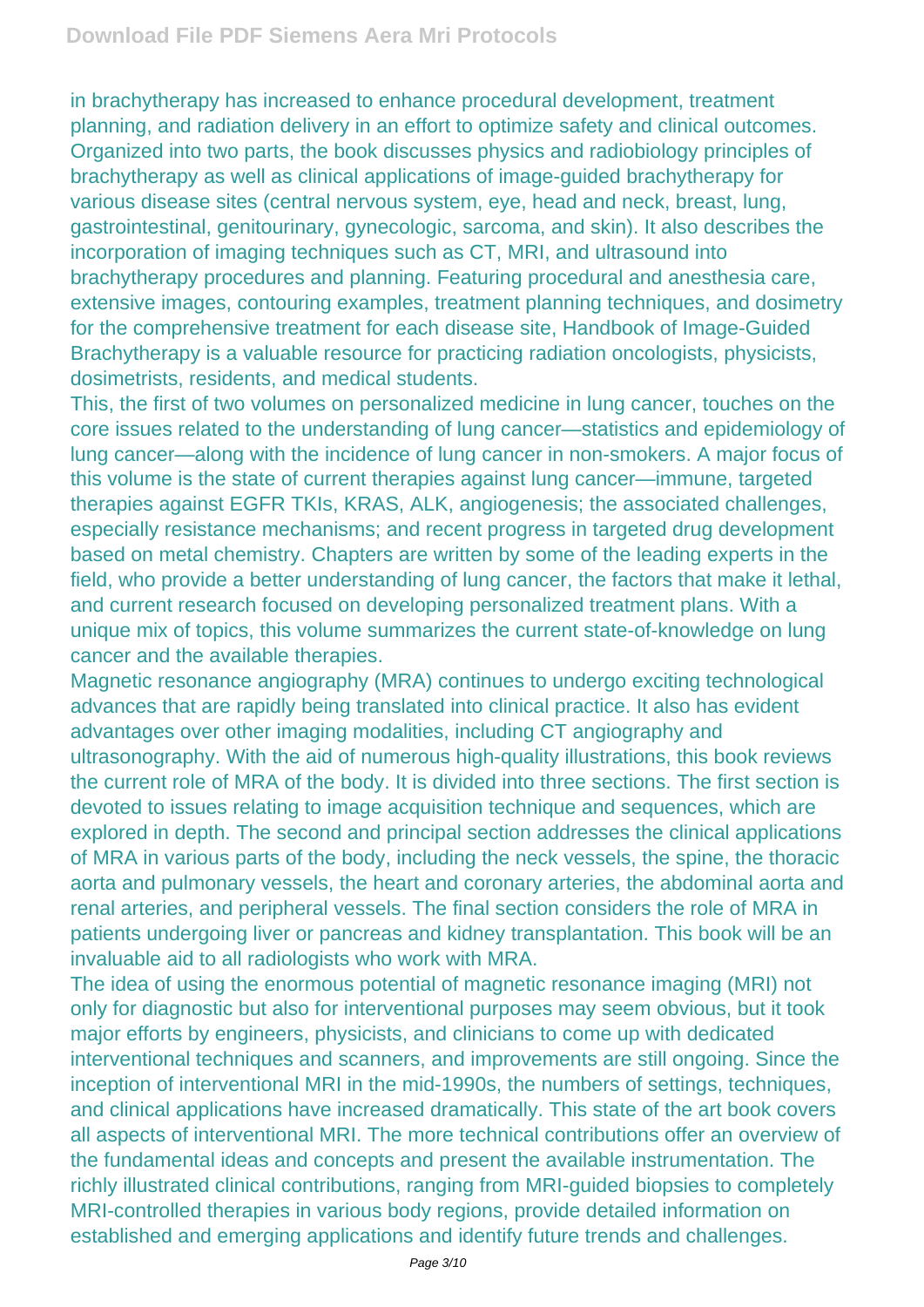in brachytherapy has increased to enhance procedural development, treatment planning, and radiation delivery in an effort to optimize safety and clinical outcomes. Organized into two parts, the book discusses physics and radiobiology principles of brachytherapy as well as clinical applications of image-guided brachytherapy for various disease sites (central nervous system, eye, head and neck, breast, lung, gastrointestinal, genitourinary, gynecologic, sarcoma, and skin). It also describes the incorporation of imaging techniques such as CT, MRI, and ultrasound into brachytherapy procedures and planning. Featuring procedural and anesthesia care, extensive images, contouring examples, treatment planning techniques, and dosimetry for the comprehensive treatment for each disease site, Handbook of Image-Guided Brachytherapy is a valuable resource for practicing radiation oncologists, physicists, dosimetrists, residents, and medical students.

This, the first of two volumes on personalized medicine in lung cancer, touches on the core issues related to the understanding of lung cancer—statistics and epidemiology of lung cancer—along with the incidence of lung cancer in non-smokers. A major focus of this volume is the state of current therapies against lung cancer—immune, targeted therapies against EGFR TKIs, KRAS, ALK, angiogenesis; the associated challenges, especially resistance mechanisms; and recent progress in targeted drug development based on metal chemistry. Chapters are written by some of the leading experts in the field, who provide a better understanding of lung cancer, the factors that make it lethal, and current research focused on developing personalized treatment plans. With a unique mix of topics, this volume summarizes the current state-of-knowledge on lung cancer and the available therapies.

Magnetic resonance angiography (MRA) continues to undergo exciting technological advances that are rapidly being translated into clinical practice. It also has evident advantages over other imaging modalities, including CT angiography and ultrasonography. With the aid of numerous high-quality illustrations, this book reviews the current role of MRA of the body. It is divided into three sections. The first section is devoted to issues relating to image acquisition technique and sequences, which are explored in depth. The second and principal section addresses the clinical applications of MRA in various parts of the body, including the neck vessels, the spine, the thoracic aorta and pulmonary vessels, the heart and coronary arteries, the abdominal aorta and renal arteries, and peripheral vessels. The final section considers the role of MRA in patients undergoing liver or pancreas and kidney transplantation. This book will be an invaluable aid to all radiologists who work with MRA.

The idea of using the enormous potential of magnetic resonance imaging (MRI) not only for diagnostic but also for interventional purposes may seem obvious, but it took major efforts by engineers, physicists, and clinicians to come up with dedicated interventional techniques and scanners, and improvements are still ongoing. Since the inception of interventional MRI in the mid-1990s, the numbers of settings, techniques, and clinical applications have increased dramatically. This state of the art book covers all aspects of interventional MRI. The more technical contributions offer an overview of the fundamental ideas and concepts and present the available instrumentation. The richly illustrated clinical contributions, ranging from MRI-guided biopsies to completely MRI-controlled therapies in various body regions, provide detailed information on established and emerging applications and identify future trends and challenges.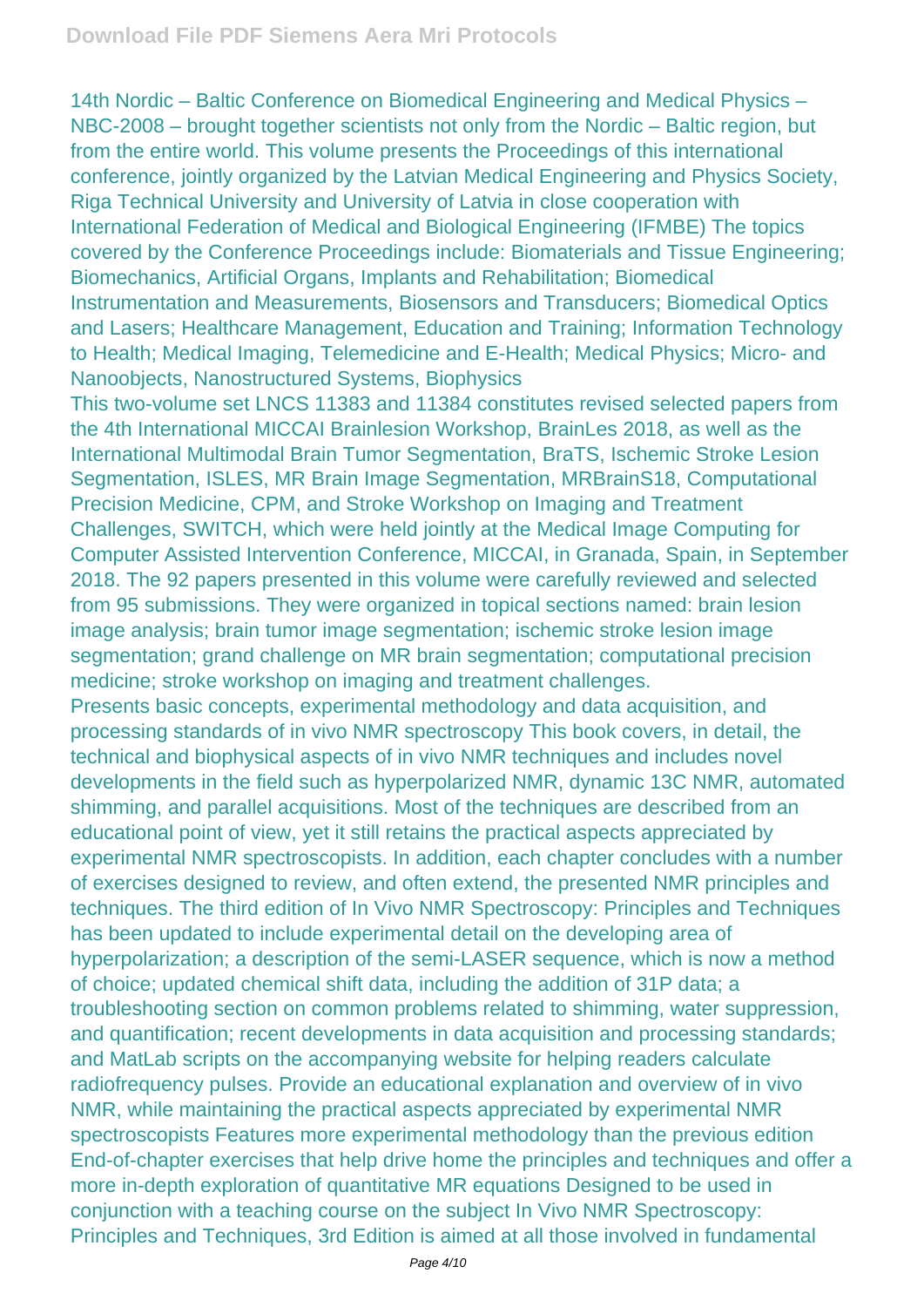14th Nordic – Baltic Conference on Biomedical Engineering and Medical Physics – NBC-2008 – brought together scientists not only from the Nordic – Baltic region, but from the entire world. This volume presents the Proceedings of this international conference, jointly organized by the Latvian Medical Engineering and Physics Society, Riga Technical University and University of Latvia in close cooperation with International Federation of Medical and Biological Engineering (IFMBE) The topics covered by the Conference Proceedings include: Biomaterials and Tissue Engineering; Biomechanics, Artificial Organs, Implants and Rehabilitation; Biomedical Instrumentation and Measurements, Biosensors and Transducers; Biomedical Optics and Lasers; Healthcare Management, Education and Training; Information Technology to Health; Medical Imaging, Telemedicine and E-Health; Medical Physics; Micro- and Nanoobjects, Nanostructured Systems, Biophysics

This two-volume set LNCS 11383 and 11384 constitutes revised selected papers from the 4th International MICCAI Brainlesion Workshop, BrainLes 2018, as well as the International Multimodal Brain Tumor Segmentation, BraTS, Ischemic Stroke Lesion Segmentation, ISLES, MR Brain Image Segmentation, MRBrainS18, Computational Precision Medicine, CPM, and Stroke Workshop on Imaging and Treatment Challenges, SWITCH, which were held jointly at the Medical Image Computing for Computer Assisted Intervention Conference, MICCAI, in Granada, Spain, in September 2018. The 92 papers presented in this volume were carefully reviewed and selected from 95 submissions. They were organized in topical sections named: brain lesion image analysis; brain tumor image segmentation; ischemic stroke lesion image segmentation; grand challenge on MR brain segmentation; computational precision medicine; stroke workshop on imaging and treatment challenges.

Presents basic concepts, experimental methodology and data acquisition, and processing standards of in vivo NMR spectroscopy This book covers, in detail, the technical and biophysical aspects of in vivo NMR techniques and includes novel developments in the field such as hyperpolarized NMR, dynamic 13C NMR, automated shimming, and parallel acquisitions. Most of the techniques are described from an educational point of view, yet it still retains the practical aspects appreciated by experimental NMR spectroscopists. In addition, each chapter concludes with a number of exercises designed to review, and often extend, the presented NMR principles and techniques. The third edition of In Vivo NMR Spectroscopy: Principles and Techniques has been updated to include experimental detail on the developing area of hyperpolarization; a description of the semi-LASER sequence, which is now a method of choice; updated chemical shift data, including the addition of 31P data; a troubleshooting section on common problems related to shimming, water suppression, and quantification; recent developments in data acquisition and processing standards; and MatLab scripts on the accompanying website for helping readers calculate radiofrequency pulses. Provide an educational explanation and overview of in vivo NMR, while maintaining the practical aspects appreciated by experimental NMR spectroscopists Features more experimental methodology than the previous edition End-of-chapter exercises that help drive home the principles and techniques and offer a more in-depth exploration of quantitative MR equations Designed to be used in conjunction with a teaching course on the subject In Vivo NMR Spectroscopy: Principles and Techniques, 3rd Edition is aimed at all those involved in fundamental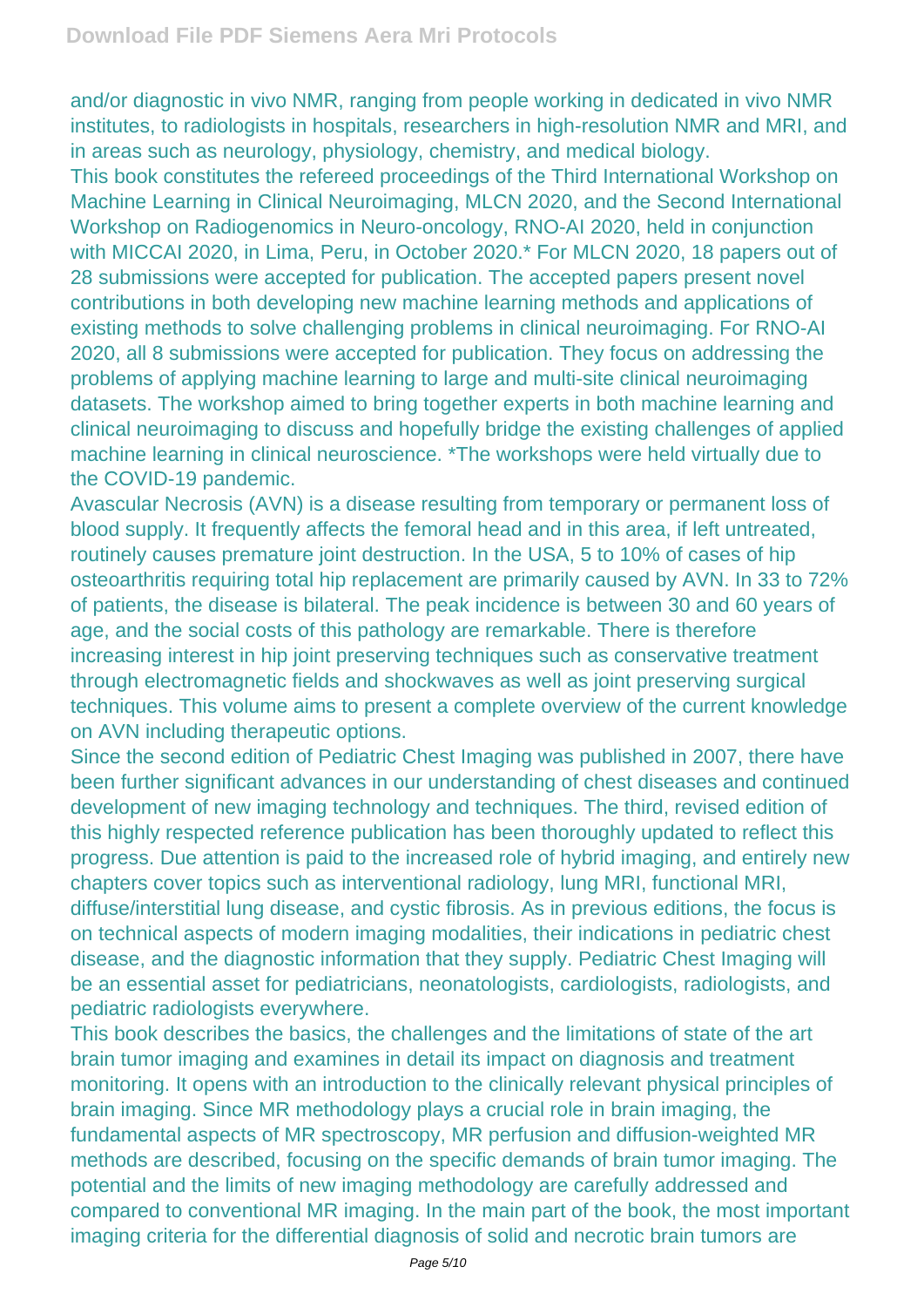and/or diagnostic in vivo NMR, ranging from people working in dedicated in vivo NMR institutes, to radiologists in hospitals, researchers in high-resolution NMR and MRI, and in areas such as neurology, physiology, chemistry, and medical biology.

This book constitutes the refereed proceedings of the Third International Workshop on Machine Learning in Clinical Neuroimaging, MLCN 2020, and the Second International Workshop on Radiogenomics in Neuro-oncology, RNO-AI 2020, held in conjunction with MICCAI 2020, in Lima, Peru, in October 2020.\* For MLCN 2020, 18 papers out of 28 submissions were accepted for publication. The accepted papers present novel contributions in both developing new machine learning methods and applications of existing methods to solve challenging problems in clinical neuroimaging. For RNO-AI 2020, all 8 submissions were accepted for publication. They focus on addressing the problems of applying machine learning to large and multi-site clinical neuroimaging datasets. The workshop aimed to bring together experts in both machine learning and clinical neuroimaging to discuss and hopefully bridge the existing challenges of applied machine learning in clinical neuroscience. \*The workshops were held virtually due to the COVID-19 pandemic.

Avascular Necrosis (AVN) is a disease resulting from temporary or permanent loss of blood supply. It frequently affects the femoral head and in this area, if left untreated, routinely causes premature joint destruction. In the USA, 5 to 10% of cases of hip osteoarthritis requiring total hip replacement are primarily caused by AVN. In 33 to 72% of patients, the disease is bilateral. The peak incidence is between 30 and 60 years of age, and the social costs of this pathology are remarkable. There is therefore increasing interest in hip joint preserving techniques such as conservative treatment through electromagnetic fields and shockwaves as well as joint preserving surgical techniques. This volume aims to present a complete overview of the current knowledge on AVN including therapeutic options.

Since the second edition of Pediatric Chest Imaging was published in 2007, there have been further significant advances in our understanding of chest diseases and continued development of new imaging technology and techniques. The third, revised edition of this highly respected reference publication has been thoroughly updated to reflect this progress. Due attention is paid to the increased role of hybrid imaging, and entirely new chapters cover topics such as interventional radiology, lung MRI, functional MRI, diffuse/interstitial lung disease, and cystic fibrosis. As in previous editions, the focus is on technical aspects of modern imaging modalities, their indications in pediatric chest disease, and the diagnostic information that they supply. Pediatric Chest Imaging will be an essential asset for pediatricians, neonatologists, cardiologists, radiologists, and pediatric radiologists everywhere.

This book describes the basics, the challenges and the limitations of state of the art brain tumor imaging and examines in detail its impact on diagnosis and treatment monitoring. It opens with an introduction to the clinically relevant physical principles of brain imaging. Since MR methodology plays a crucial role in brain imaging, the fundamental aspects of MR spectroscopy, MR perfusion and diffusion-weighted MR methods are described, focusing on the specific demands of brain tumor imaging. The potential and the limits of new imaging methodology are carefully addressed and compared to conventional MR imaging. In the main part of the book, the most important imaging criteria for the differential diagnosis of solid and necrotic brain tumors are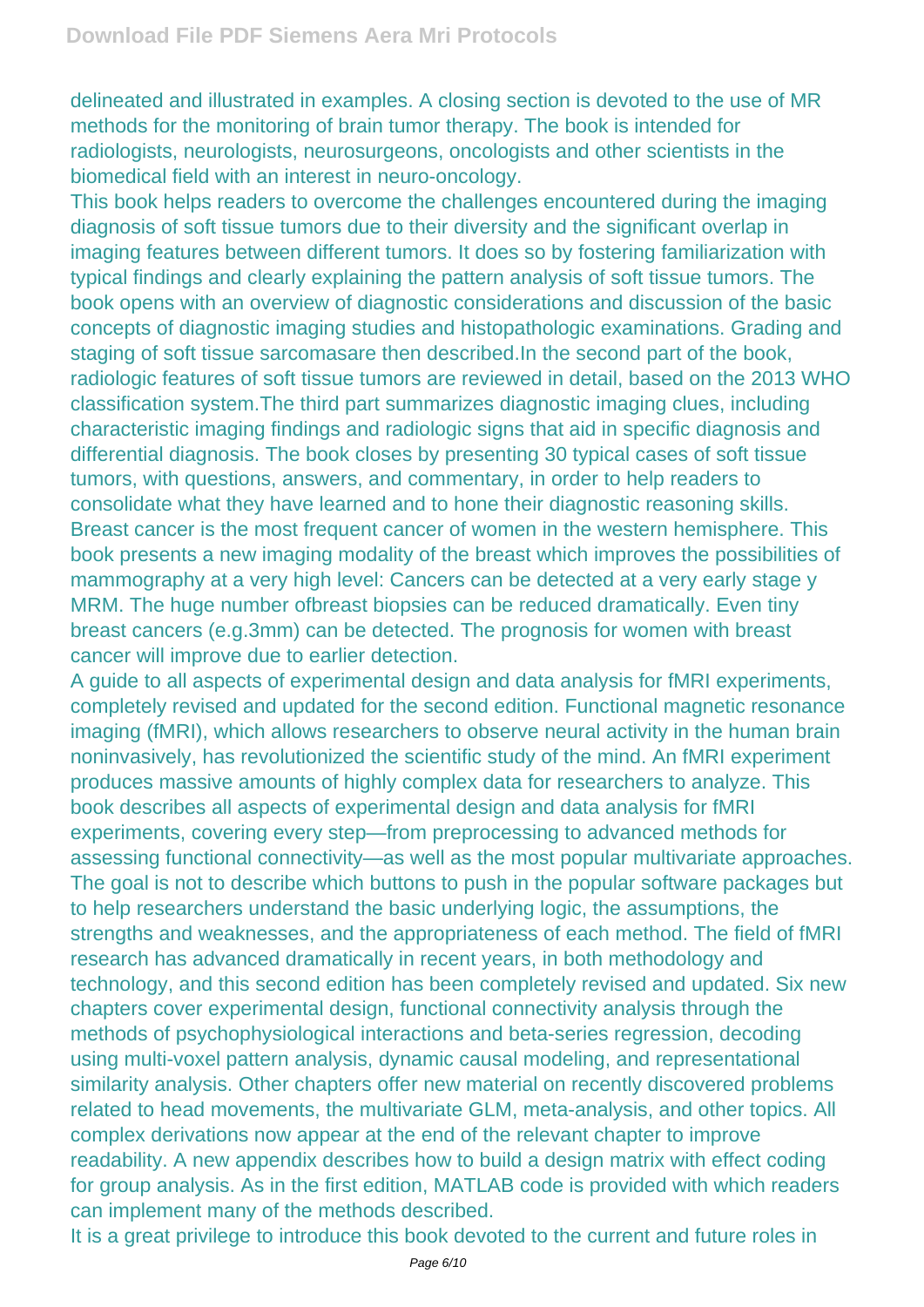delineated and illustrated in examples. A closing section is devoted to the use of MR methods for the monitoring of brain tumor therapy. The book is intended for radiologists, neurologists, neurosurgeons, oncologists and other scientists in the biomedical field with an interest in neuro-oncology.

This book helps readers to overcome the challenges encountered during the imaging diagnosis of soft tissue tumors due to their diversity and the significant overlap in imaging features between different tumors. It does so by fostering familiarization with typical findings and clearly explaining the pattern analysis of soft tissue tumors. The book opens with an overview of diagnostic considerations and discussion of the basic concepts of diagnostic imaging studies and histopathologic examinations. Grading and staging of soft tissue sarcomasare then described.In the second part of the book, radiologic features of soft tissue tumors are reviewed in detail, based on the 2013 WHO classification system.The third part summarizes diagnostic imaging clues, including characteristic imaging findings and radiologic signs that aid in specific diagnosis and differential diagnosis. The book closes by presenting 30 typical cases of soft tissue tumors, with questions, answers, and commentary, in order to help readers to consolidate what they have learned and to hone their diagnostic reasoning skills. Breast cancer is the most frequent cancer of women in the western hemisphere. This book presents a new imaging modality of the breast which improves the possibilities of mammography at a very high level: Cancers can be detected at a very early stage y MRM. The huge number ofbreast biopsies can be reduced dramatically. Even tiny breast cancers (e.g.3mm) can be detected. The prognosis for women with breast cancer will improve due to earlier detection.

A guide to all aspects of experimental design and data analysis for fMRI experiments, completely revised and updated for the second edition. Functional magnetic resonance imaging (fMRI), which allows researchers to observe neural activity in the human brain noninvasively, has revolutionized the scientific study of the mind. An fMRI experiment produces massive amounts of highly complex data for researchers to analyze. This book describes all aspects of experimental design and data analysis for fMRI experiments, covering every step—from preprocessing to advanced methods for assessing functional connectivity—as well as the most popular multivariate approaches. The goal is not to describe which buttons to push in the popular software packages but to help researchers understand the basic underlying logic, the assumptions, the strengths and weaknesses, and the appropriateness of each method. The field of fMRI research has advanced dramatically in recent years, in both methodology and technology, and this second edition has been completely revised and updated. Six new chapters cover experimental design, functional connectivity analysis through the methods of psychophysiological interactions and beta-series regression, decoding using multi-voxel pattern analysis, dynamic causal modeling, and representational similarity analysis. Other chapters offer new material on recently discovered problems related to head movements, the multivariate GLM, meta-analysis, and other topics. All complex derivations now appear at the end of the relevant chapter to improve readability. A new appendix describes how to build a design matrix with effect coding for group analysis. As in the first edition, MATLAB code is provided with which readers can implement many of the methods described.

It is a great privilege to introduce this book devoted to the current and future roles in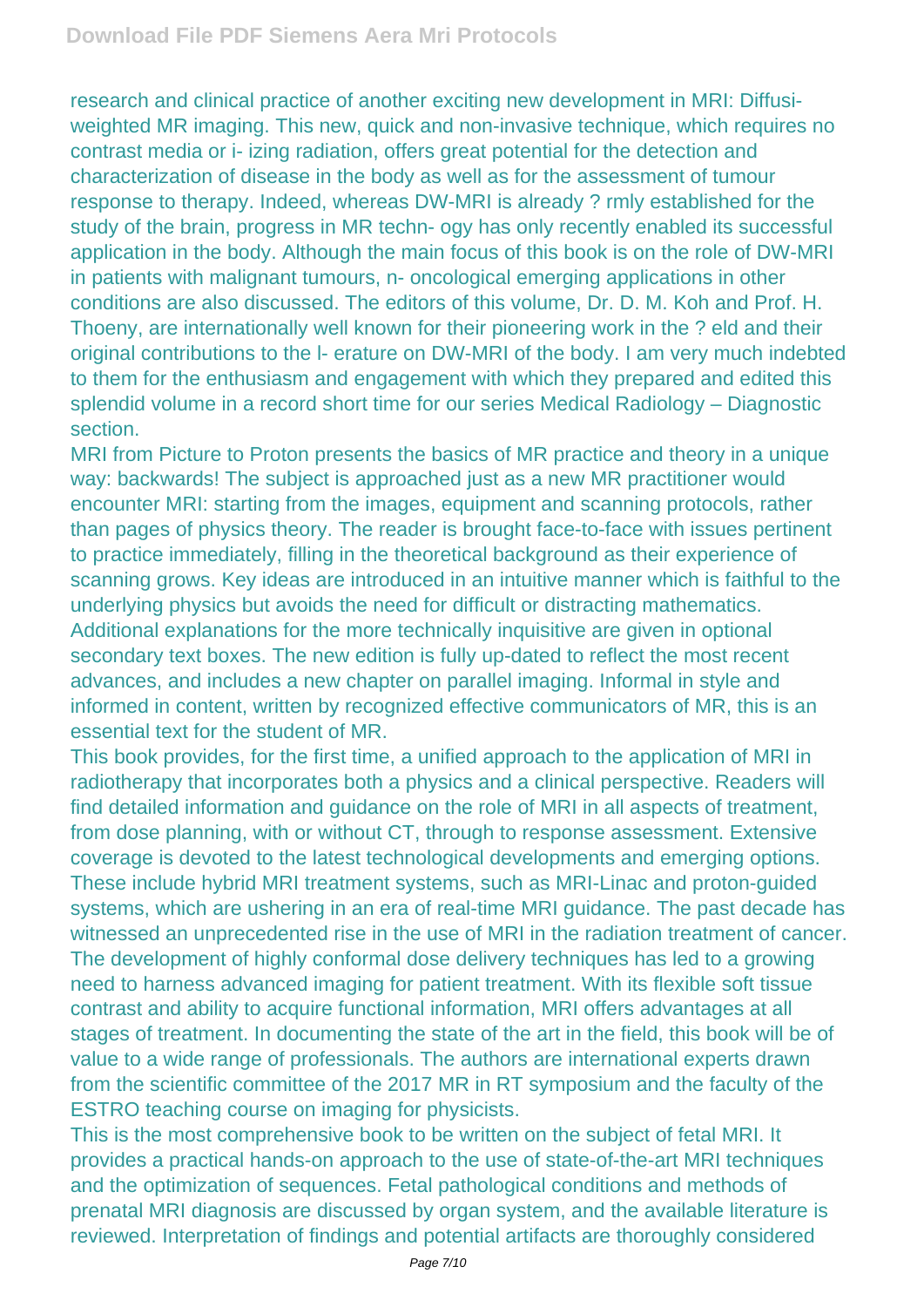research and clinical practice of another exciting new development in MRI: Diffusiweighted MR imaging. This new, quick and non-invasive technique, which requires no contrast media or i- izing radiation, offers great potential for the detection and characterization of disease in the body as well as for the assessment of tumour response to therapy. Indeed, whereas DW-MRI is already ? rmly established for the study of the brain, progress in MR techn- ogy has only recently enabled its successful application in the body. Although the main focus of this book is on the role of DW-MRI in patients with malignant tumours, n- oncological emerging applications in other conditions are also discussed. The editors of this volume, Dr. D. M. Koh and Prof. H. Thoeny, are internationally well known for their pioneering work in the ? eld and their original contributions to the l- erature on DW-MRI of the body. I am very much indebted to them for the enthusiasm and engagement with which they prepared and edited this splendid volume in a record short time for our series Medical Radiology – Diagnostic section.

MRI from Picture to Proton presents the basics of MR practice and theory in a unique way: backwards! The subject is approached just as a new MR practitioner would encounter MRI: starting from the images, equipment and scanning protocols, rather than pages of physics theory. The reader is brought face-to-face with issues pertinent to practice immediately, filling in the theoretical background as their experience of scanning grows. Key ideas are introduced in an intuitive manner which is faithful to the underlying physics but avoids the need for difficult or distracting mathematics. Additional explanations for the more technically inquisitive are given in optional secondary text boxes. The new edition is fully up-dated to reflect the most recent advances, and includes a new chapter on parallel imaging. Informal in style and informed in content, written by recognized effective communicators of MR, this is an essential text for the student of MR.

This book provides, for the first time, a unified approach to the application of MRI in radiotherapy that incorporates both a physics and a clinical perspective. Readers will find detailed information and guidance on the role of MRI in all aspects of treatment, from dose planning, with or without CT, through to response assessment. Extensive coverage is devoted to the latest technological developments and emerging options. These include hybrid MRI treatment systems, such as MRI-Linac and proton-guided systems, which are ushering in an era of real-time MRI guidance. The past decade has witnessed an unprecedented rise in the use of MRI in the radiation treatment of cancer. The development of highly conformal dose delivery techniques has led to a growing need to harness advanced imaging for patient treatment. With its flexible soft tissue contrast and ability to acquire functional information, MRI offers advantages at all stages of treatment. In documenting the state of the art in the field, this book will be of value to a wide range of professionals. The authors are international experts drawn from the scientific committee of the 2017 MR in RT symposium and the faculty of the ESTRO teaching course on imaging for physicists.

This is the most comprehensive book to be written on the subject of fetal MRI. It provides a practical hands-on approach to the use of state-of-the-art MRI techniques and the optimization of sequences. Fetal pathological conditions and methods of prenatal MRI diagnosis are discussed by organ system, and the available literature is reviewed. Interpretation of findings and potential artifacts are thoroughly considered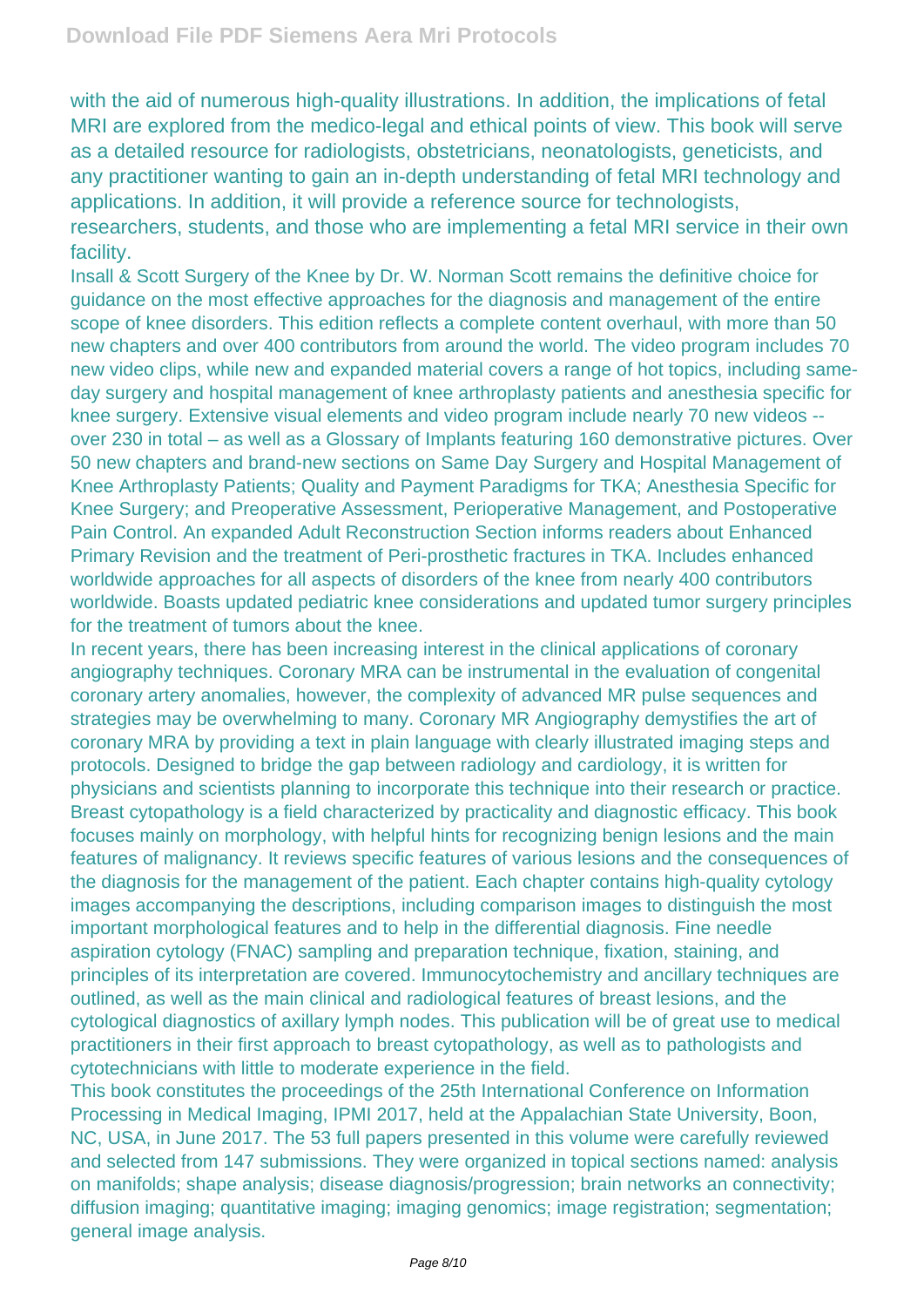with the aid of numerous high-quality illustrations. In addition, the implications of fetal MRI are explored from the medico-legal and ethical points of view. This book will serve as a detailed resource for radiologists, obstetricians, neonatologists, geneticists, and any practitioner wanting to gain an in-depth understanding of fetal MRI technology and applications. In addition, it will provide a reference source for technologists, researchers, students, and those who are implementing a fetal MRI service in their own facility.

Insall & Scott Surgery of the Knee by Dr. W. Norman Scott remains the definitive choice for guidance on the most effective approaches for the diagnosis and management of the entire scope of knee disorders. This edition reflects a complete content overhaul, with more than 50 new chapters and over 400 contributors from around the world. The video program includes 70 new video clips, while new and expanded material covers a range of hot topics, including sameday surgery and hospital management of knee arthroplasty patients and anesthesia specific for knee surgery. Extensive visual elements and video program include nearly 70 new videos - over 230 in total – as well as a Glossary of Implants featuring 160 demonstrative pictures. Over 50 new chapters and brand-new sections on Same Day Surgery and Hospital Management of Knee Arthroplasty Patients; Quality and Payment Paradigms for TKA; Anesthesia Specific for Knee Surgery; and Preoperative Assessment, Perioperative Management, and Postoperative Pain Control. An expanded Adult Reconstruction Section informs readers about Enhanced Primary Revision and the treatment of Peri-prosthetic fractures in TKA. Includes enhanced worldwide approaches for all aspects of disorders of the knee from nearly 400 contributors worldwide. Boasts updated pediatric knee considerations and updated tumor surgery principles for the treatment of tumors about the knee.

In recent years, there has been increasing interest in the clinical applications of coronary angiography techniques. Coronary MRA can be instrumental in the evaluation of congenital coronary artery anomalies, however, the complexity of advanced MR pulse sequences and strategies may be overwhelming to many. Coronary MR Angiography demystifies the art of coronary MRA by providing a text in plain language with clearly illustrated imaging steps and protocols. Designed to bridge the gap between radiology and cardiology, it is written for physicians and scientists planning to incorporate this technique into their research or practice. Breast cytopathology is a field characterized by practicality and diagnostic efficacy. This book focuses mainly on morphology, with helpful hints for recognizing benign lesions and the main features of malignancy. It reviews specific features of various lesions and the consequences of the diagnosis for the management of the patient. Each chapter contains high-quality cytology images accompanying the descriptions, including comparison images to distinguish the most important morphological features and to help in the differential diagnosis. Fine needle aspiration cytology (FNAC) sampling and preparation technique, fixation, staining, and principles of its interpretation are covered. Immunocytochemistry and ancillary techniques are outlined, as well as the main clinical and radiological features of breast lesions, and the cytological diagnostics of axillary lymph nodes. This publication will be of great use to medical practitioners in their first approach to breast cytopathology, as well as to pathologists and cytotechnicians with little to moderate experience in the field.

This book constitutes the proceedings of the 25th International Conference on Information Processing in Medical Imaging, IPMI 2017, held at the Appalachian State University, Boon, NC, USA, in June 2017. The 53 full papers presented in this volume were carefully reviewed and selected from 147 submissions. They were organized in topical sections named: analysis on manifolds; shape analysis; disease diagnosis/progression; brain networks an connectivity; diffusion imaging; quantitative imaging; imaging genomics; image registration; segmentation; general image analysis.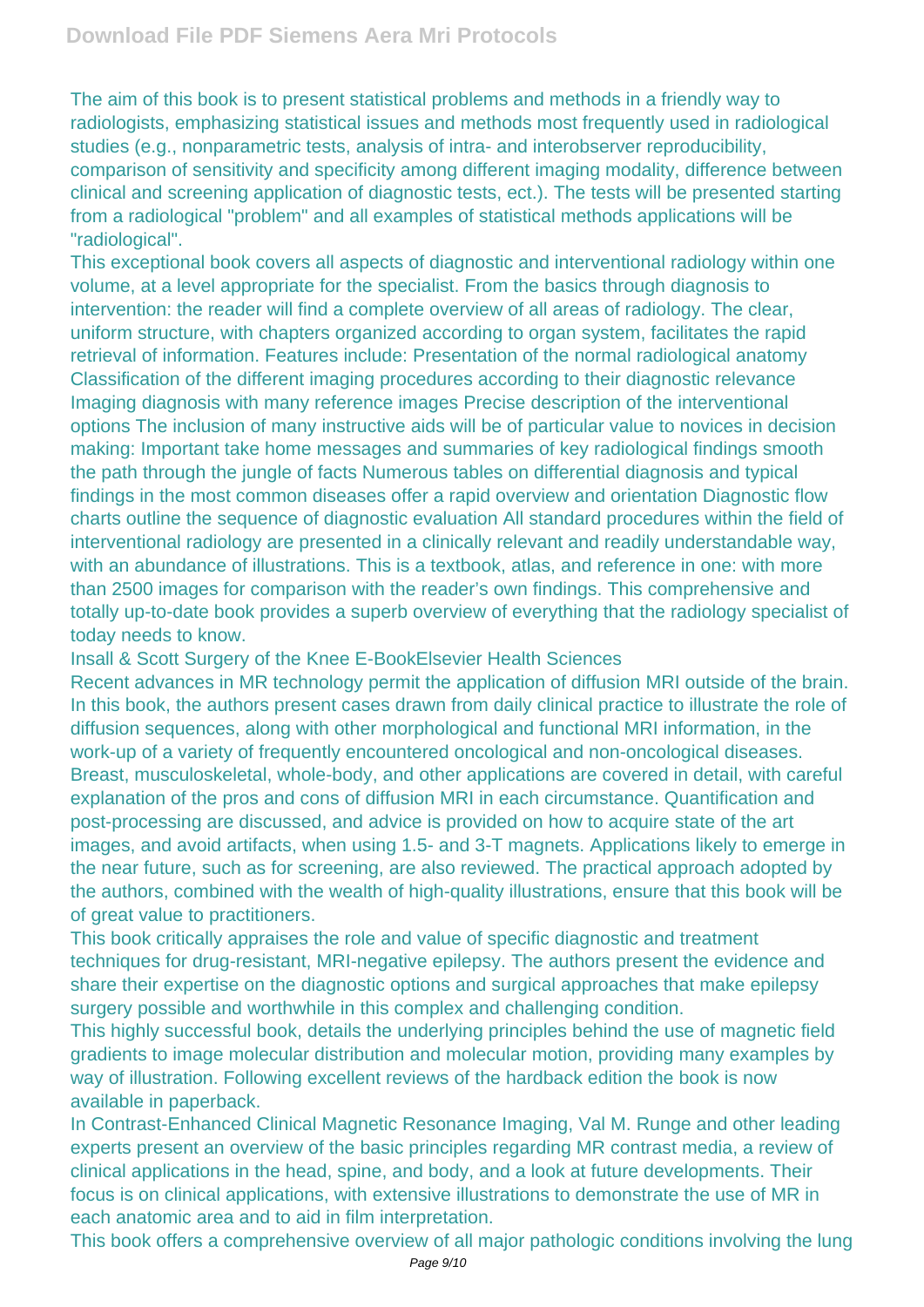The aim of this book is to present statistical problems and methods in a friendly way to radiologists, emphasizing statistical issues and methods most frequently used in radiological studies (e.g., nonparametric tests, analysis of intra- and interobserver reproducibility, comparison of sensitivity and specificity among different imaging modality, difference between clinical and screening application of diagnostic tests, ect.). The tests will be presented starting from a radiological "problem" and all examples of statistical methods applications will be "radiological".

This exceptional book covers all aspects of diagnostic and interventional radiology within one volume, at a level appropriate for the specialist. From the basics through diagnosis to intervention: the reader will find a complete overview of all areas of radiology. The clear, uniform structure, with chapters organized according to organ system, facilitates the rapid retrieval of information. Features include: Presentation of the normal radiological anatomy Classification of the different imaging procedures according to their diagnostic relevance Imaging diagnosis with many reference images Precise description of the interventional options The inclusion of many instructive aids will be of particular value to novices in decision making: Important take home messages and summaries of key radiological findings smooth the path through the jungle of facts Numerous tables on differential diagnosis and typical findings in the most common diseases offer a rapid overview and orientation Diagnostic flow charts outline the sequence of diagnostic evaluation All standard procedures within the field of interventional radiology are presented in a clinically relevant and readily understandable way, with an abundance of illustrations. This is a textbook, atlas, and reference in one: with more than 2500 images for comparison with the reader's own findings. This comprehensive and totally up-to-date book provides a superb overview of everything that the radiology specialist of today needs to know.

Insall & Scott Surgery of the Knee E-BookElsevier Health Sciences

Recent advances in MR technology permit the application of diffusion MRI outside of the brain. In this book, the authors present cases drawn from daily clinical practice to illustrate the role of diffusion sequences, along with other morphological and functional MRI information, in the work-up of a variety of frequently encountered oncological and non-oncological diseases. Breast, musculoskeletal, whole-body, and other applications are covered in detail, with careful explanation of the pros and cons of diffusion MRI in each circumstance. Quantification and post-processing are discussed, and advice is provided on how to acquire state of the art images, and avoid artifacts, when using 1.5- and 3-T magnets. Applications likely to emerge in the near future, such as for screening, are also reviewed. The practical approach adopted by the authors, combined with the wealth of high-quality illustrations, ensure that this book will be of great value to practitioners.

This book critically appraises the role and value of specific diagnostic and treatment techniques for drug-resistant, MRI-negative epilepsy. The authors present the evidence and share their expertise on the diagnostic options and surgical approaches that make epilepsy surgery possible and worthwhile in this complex and challenging condition.

This highly successful book, details the underlying principles behind the use of magnetic field gradients to image molecular distribution and molecular motion, providing many examples by way of illustration. Following excellent reviews of the hardback edition the book is now available in paperback.

In Contrast-Enhanced Clinical Magnetic Resonance Imaging, Val M. Runge and other leading experts present an overview of the basic principles regarding MR contrast media, a review of clinical applications in the head, spine, and body, and a look at future developments. Their focus is on clinical applications, with extensive illustrations to demonstrate the use of MR in each anatomic area and to aid in film interpretation.

This book offers a comprehensive overview of all major pathologic conditions involving the lung